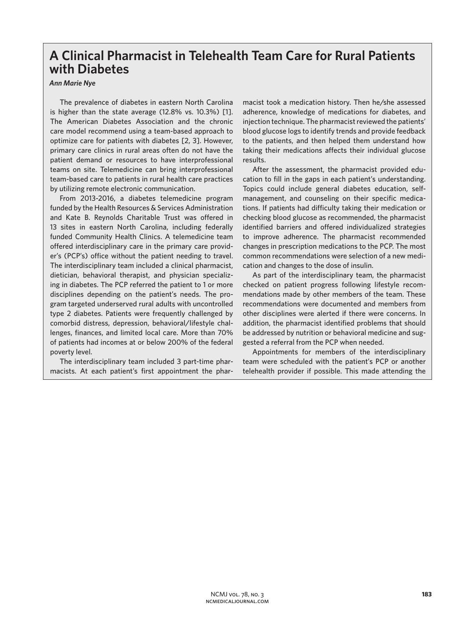## **A Clinical Pharmacist in Telehealth Team Care for Rural Patients with Diabetes**

## *Ann Marie Nye*

The prevalence of diabetes in eastern North Carolina is higher than the state average (12.8% vs. 10.3%) [1]. The American Diabetes Association and the chronic care model recommend using a team-based approach to optimize care for patients with diabetes [2, 3]. However, primary care clinics in rural areas often do not have the patient demand or resources to have interprofessional teams on site. Telemedicine can bring interprofessional team-based care to patients in rural health care practices by utilizing remote electronic communication.

From 2013-2016, a diabetes telemedicine program funded by the Health Resources & Services Administration and Kate B. Reynolds Charitable Trust was offered in 13 sites in eastern North Carolina, including federally funded Community Health Clinics. A telemedicine team offered interdisciplinary care in the primary care provider's (PCP's) office without the patient needing to travel. The interdisciplinary team included a clinical pharmacist, dietician, behavioral therapist, and physician specializing in diabetes. The PCP referred the patient to 1 or more disciplines depending on the patient's needs. The program targeted underserved rural adults with uncontrolled type 2 diabetes. Patients were frequently challenged by comorbid distress, depression, behavioral/lifestyle challenges, finances, and limited local care. More than 70% of patients had incomes at or below 200% of the federal poverty level.

The interdisciplinary team included 3 part-time pharmacists. At each patient's first appointment the pharmacist took a medication history. Then he/she assessed adherence, knowledge of medications for diabetes, and injection technique. The pharmacist reviewed the patients' blood glucose logs to identify trends and provide feedback to the patients, and then helped them understand how taking their medications affects their individual glucose results.

After the assessment, the pharmacist provided education to fill in the gaps in each patient's understanding. Topics could include general diabetes education, selfmanagement, and counseling on their specific medications. If patients had difficulty taking their medication or checking blood glucose as recommended, the pharmacist identified barriers and offered individualized strategies to improve adherence. The pharmacist recommended changes in prescription medications to the PCP. The most common recommendations were selection of a new medication and changes to the dose of insulin.

As part of the interdisciplinary team, the pharmacist checked on patient progress following lifestyle recommendations made by other members of the team. These recommendations were documented and members from other disciplines were alerted if there were concerns. In addition, the pharmacist identified problems that should be addressed by nutrition or behavioral medicine and suggested a referral from the PCP when needed.

Appointments for members of the interdisciplinary team were scheduled with the patient's PCP or another telehealth provider if possible. This made attending the